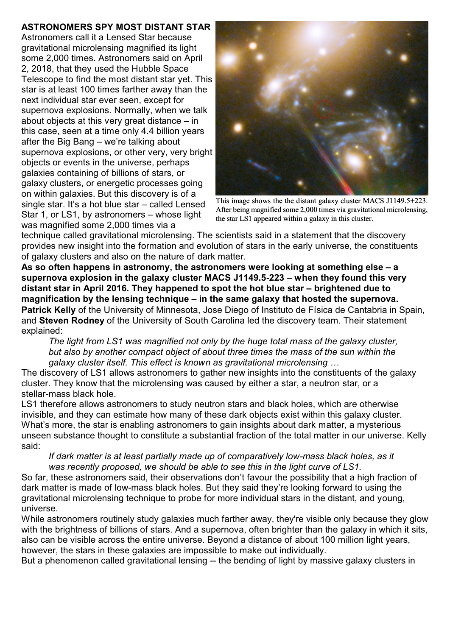## **ASTRONOMERS SPY MOST DISTANT STAR**

Astronomers call it a Lensed Star because gravitational microlensing magnified its light some 2,000 times. Astronomers said on April 2, 2018, that they used the Hubble Space Telescope to find the most distant star yet. This star is at least 100 times farther away than the next individual star ever seen, except for supernova explosions. Normally, when we talk about objects at this very great distance – in this case, seen at a time only 4.4 billion years after the Big Bang – we're talking about supernova explosions, or other very, very bright objects or events in the universe, perhaps galaxies containing of billions of stars, or galaxy clusters, or energetic processes going on within galaxies. But this discovery is of a single star. It's a hot blue star – called Lensed Star 1, or LS1, by astronomers – whose light was magnified some 2,000 times via a



This image shows the the distant galaxy cluster MACS J1149.5+223. After being magnified some 2,000 times via gravitational microlensing, the star LS1 appeared within a galaxy in this cluster.

technique called gravitational microlensing. The scientists said in a statement that the discovery provides new insight into the formation and evolution of stars in the early universe, the constituents of galaxy clusters and also on the nature of dark matter.

**As so often happens in astronomy, the astronomers were looking at something else – a supernova explosion in the galaxy cluster MACS J1149.5-223 – when they found this very distant star in April 2016. They happened to spot the hot blue star – brightened due to magnification by the lensing technique – in the same galaxy that hosted the supernova. Patrick Kelly** of the University of Minnesota, Jose Diego of Instituto de Física de Cantabria in Spain, and **Steven Rodney** of the University of South Carolina led the discovery team. Their statement explained:

*The light from LS1 was magnified not only by the huge total mass of the galaxy cluster, but also by another compact object of about three times the mass of the sun within the galaxy cluster itself. This effect is known as gravitational microlensing …*

The discovery of LS1 allows astronomers to gather new insights into the constituents of the galaxy cluster. They know that the microlensing was caused by either a star, a neutron star, or a stellar-mass black hole.

LS1 therefore allows astronomers to study neutron stars and black holes, which are otherwise invisible, and they can estimate how many of these dark objects exist within this galaxy cluster. What's more, the star is enabling astronomers to gain insights about dark matter, a mysterious unseen substance thought to constitute a substantial fraction of the total matter in our universe. Kelly said:

## *If dark matter is at least partially made up of comparatively low-mass black holes, as it was recently proposed, we should be able to see this in the light curve of LS1.*

So far, these astronomers said, their observations don't favour the possibility that a high fraction of dark matter is made of low-mass black holes. But they said they're looking forward to using the gravitational microlensing technique to probe for more individual stars in the distant, and young, universe.

While astronomers routinely study galaxies much farther away, they're visible only because they glow with the brightness of billions of stars. And a supernova, often brighter than the galaxy in which it sits, also can be visible across the entire universe. Beyond a distance of about 100 million light years, however, the stars in these galaxies are impossible to make out individually.

But a phenomenon called gravitational lensing -- the bending of light by massive galaxy clusters in